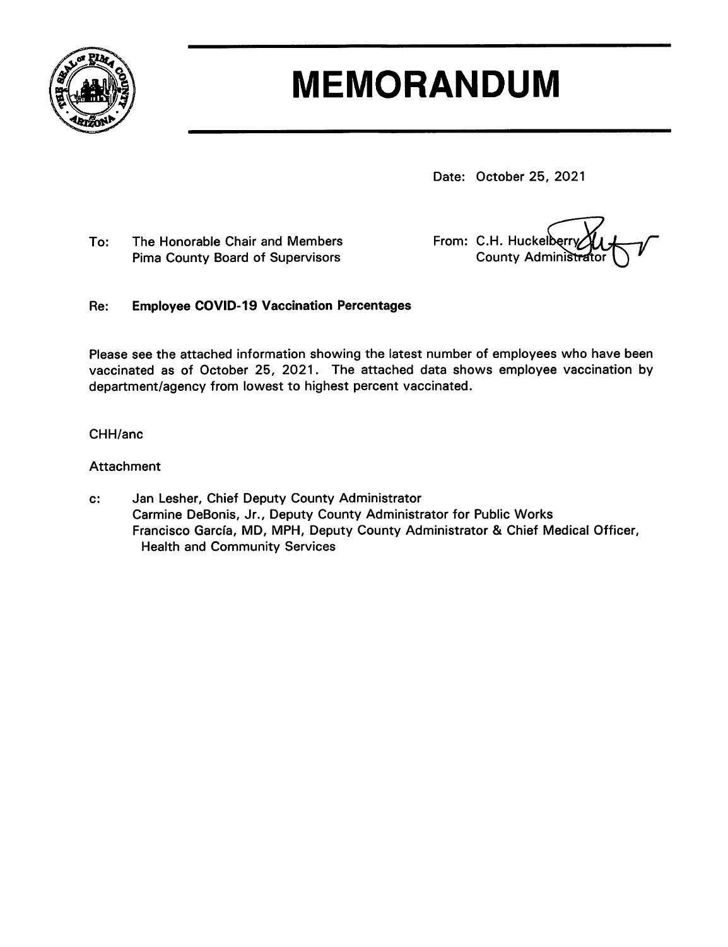

# **MEMORANDUM**

Date: October 25, 2021

To: The Honorable Chair and Members **Pima County Board of Supervisors** 

From: C.H. Huckelberry **County Administrator** 

#### **Employee COVID-19 Vaccination Percentages** Re:

Please see the attached information showing the latest number of employees who have been vaccinated as of October 25, 2021. The attached data shows employee vaccination by department/agency from lowest to highest percent vaccinated.

### CHH/anc

### Attachment

Jan Lesher, Chief Deputy County Administrator  $\mathbf{c}$ : Carmine DeBonis, Jr., Deputy County Administrator for Public Works Francisco García, MD, MPH, Deputy County Administrator & Chief Medical Officer, **Health and Community Services**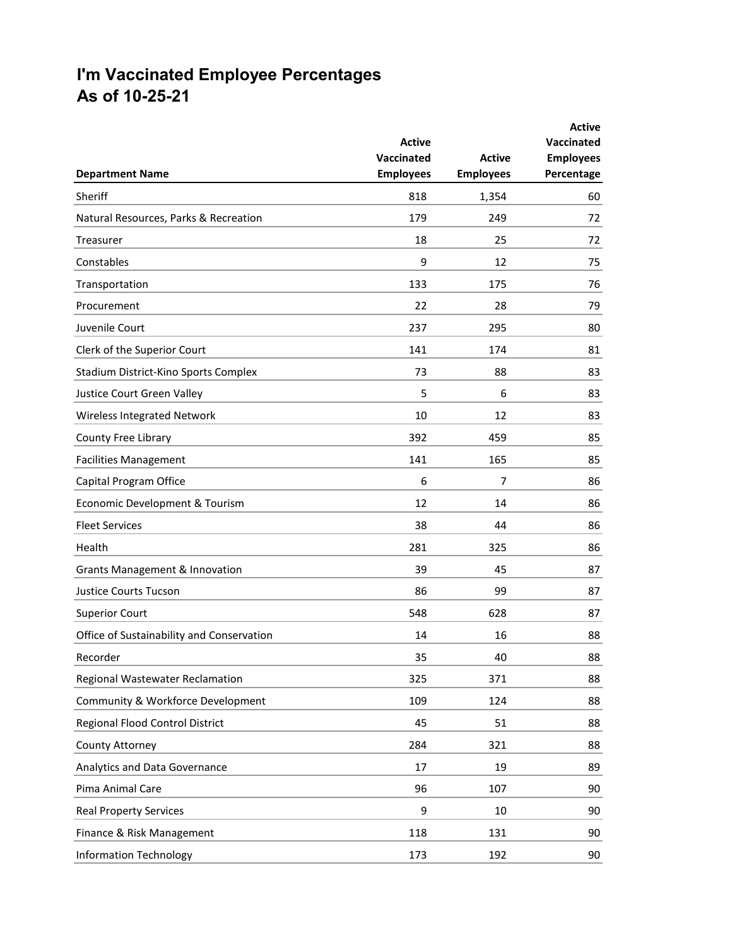## **I'm Vaccinated Employee Percentages As of 10-25-21**

|                                           |                                                 | <b>Active</b><br><b>Employees</b> | <b>Active</b><br><b>Vaccinated</b><br><b>Employees</b><br>Percentage |
|-------------------------------------------|-------------------------------------------------|-----------------------------------|----------------------------------------------------------------------|
| <b>Department Name</b>                    | <b>Active</b><br>Vaccinated<br><b>Employees</b> |                                   |                                                                      |
|                                           |                                                 |                                   |                                                                      |
| Natural Resources, Parks & Recreation     | 179                                             | 249                               | 72                                                                   |
| Treasurer                                 | 18                                              | 25                                | 72                                                                   |
| Constables                                | 9                                               | 12                                | 75                                                                   |
| Transportation                            | 133                                             | 175                               | 76                                                                   |
| Procurement                               | 22                                              | 28                                | 79                                                                   |
| Juvenile Court                            | 237                                             | 295                               | 80                                                                   |
| Clerk of the Superior Court               | 141                                             | 174                               | 81                                                                   |
| Stadium District-Kino Sports Complex      | 73                                              | 88                                | 83                                                                   |
| Justice Court Green Valley                | 5                                               | 6                                 | 83                                                                   |
| Wireless Integrated Network               | 10                                              | 12                                | 83                                                                   |
| County Free Library                       | 392                                             | 459                               | 85                                                                   |
| <b>Facilities Management</b>              | 141                                             | 165                               | 85                                                                   |
| Capital Program Office                    | 6                                               | 7                                 | 86                                                                   |
| Economic Development & Tourism            | 12                                              | 14                                | 86                                                                   |
| <b>Fleet Services</b>                     | 38                                              | 44                                | 86                                                                   |
| Health                                    | 281                                             | 325                               | 86                                                                   |
| Grants Management & Innovation            | 39                                              | 45                                | 87                                                                   |
| <b>Justice Courts Tucson</b>              | 86                                              | 99                                | 87                                                                   |
| <b>Superior Court</b>                     | 548                                             | 628                               | 87                                                                   |
| Office of Sustainability and Conservation | 14                                              | 16                                | 88                                                                   |
| Recorder                                  | 35                                              | 40                                | 88                                                                   |
| Regional Wastewater Reclamation           | 325                                             | 371                               | 88                                                                   |
| Community & Workforce Development         | 109                                             | 124                               | 88                                                                   |
| Regional Flood Control District           | 45                                              | 51                                | 88                                                                   |
| County Attorney                           | 284                                             | 321                               | 88                                                                   |
| Analytics and Data Governance             | 17                                              | 19                                | 89                                                                   |
| Pima Animal Care                          | 96                                              | 107                               | 90                                                                   |
| <b>Real Property Services</b>             | 9                                               | 10                                | 90                                                                   |
| Finance & Risk Management                 | 118                                             | 131                               | 90                                                                   |
| <b>Information Technology</b>             | 173                                             | 192                               | 90                                                                   |